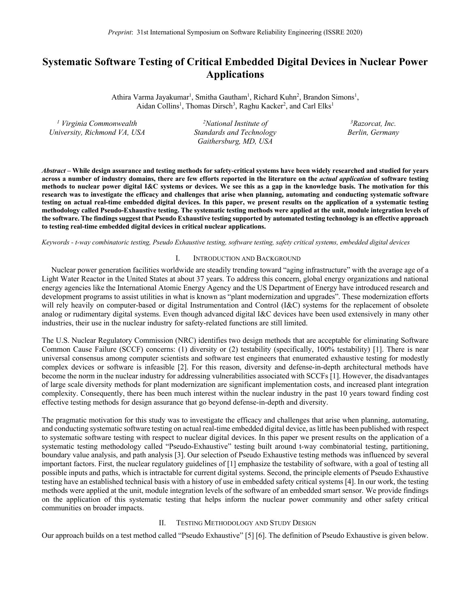# **Systematic Software Testing of Critical Embedded Digital Devices in Nuclear Power Applications**

Athira Varma Jayakumar<sup>1</sup>, Smitha Gautham<sup>1</sup>, Richard Kuhn<sup>2</sup>, Brandon Simons<sup>1</sup>, Aidan Collins<sup>1</sup>, Thomas Dirsch<sup>3</sup>, Raghu Kacker<sup>2</sup>, and Carl Elks<sup>1</sup>

*<sup>1</sup> Virginia Commonwealth University, Richmond VA, USA 2 National Institute of Standards and Technology Gaithersburg, MD, USA 3 Razorcat, Inc. Berlin, Germany*

*Abstract –* **While design assurance and testing methods for safety-critical systems have been widely researched and studied for years across a number of industry domains, there are few efforts reported in the literature on the** *actual application* **of software testing methods to nuclear power digital I&C systems or devices. We see this as a gap in the knowledge basis. The motivation for this research was to investigate the efficacy and challenges that arise when planning, automating and conducting systematic software testing on actual real-time embedded digital devices. In this paper, we present results on the application of a systematic testing methodology called Pseudo-Exhaustive testing. The systematic testing methods were applied at the unit, module integration levels of the software. The findings suggest that Pseudo Exhaustive testing supported by automated testing technology is an effective approach to testing real-time embedded digital devices in critical nuclear applications.** 

*Keywords - t-way combinatoric testing, Pseudo Exhaustive testing, software testing, safety critical systems, embedded digital devices*

#### I. INTRODUCTION AND BACKGROUND

 Nuclear power generation facilities worldwide are steadily trending toward "aging infrastructure" with the average age of a Light Water Reactor in the United States at about 37 years. To address this concern, global energy organizations and national energy agencies like the International Atomic Energy Agency and the US Department of Energy have introduced research and development programs to assist utilities in what is known as "plant modernization and upgrades". These modernization efforts will rely heavily on computer-based or digital Instrumentation and Control (I&C) systems for the replacement of obsolete analog or rudimentary digital systems. Even though advanced digital I&C devices have been used extensively in many other industries, their use in the nuclear industry for safety-related functions are still limited.

The U.S. Nuclear Regulatory Commission (NRC) identifies two design methods that are acceptable for eliminating Software Common Cause Failure (SCCF) concerns: (1) diversity or (2) testability (specifically, 100% testability) [1]. There is near universal consensus among computer scientists and software test engineers that enumerated exhaustive testing for modestly complex devices or software is infeasible [2]. For this reason, diversity and defense-in-depth architectural methods have become the norm in the nuclear industry for addressing vulnerabilities associated with SCCFs [1]. However, the disadvantages of large scale diversity methods for plant modernization are significant implementation costs, and increased plant integration complexity. Consequently, there has been much interest within the nuclear industry in the past 10 years toward finding cost effective testing methods for design assurance that go beyond defense-in-depth and diversity.

The pragmatic motivation for this study was to investigate the efficacy and challenges that arise when planning, automating, and conducting systematic software testing on actual real-time embedded digital device, as little has been published with respect to systematic software testing with respect to nuclear digital devices. In this paper we present results on the application of a systematic testing methodology called "Pseudo-Exhaustive" testing built around t-way combinatorial testing, partitioning, boundary value analysis, and path analysis [3]. Our selection of Pseudo Exhaustive testing methods was influenced by several important factors. First, the nuclear regulatory guidelines of [1] emphasize the testability of software, with a goal of testing all possible inputs and paths, which is intractable for current digital systems. Second, the principle elements of Pseudo Exhaustive testing have an established technical basis with a history of use in embedded safety critical systems [4]. In our work, the testing methods were applied at the unit, module integration levels of the software of an embedded smart sensor. We provide findings on the application of this systematic testing that helps inform the nuclear power community and other safety critical communities on broader impacts.

# II. TESTING METHODOLOGY AND STUDY DESIGN

Our approach builds on a test method called "Pseudo Exhaustive" [5] [6]. The definition of Pseudo Exhaustive is given below.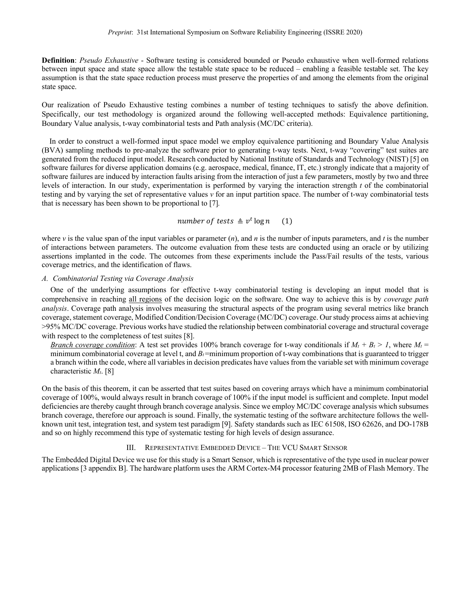**Definition**: *Pseudo Exhaustive* - Software testing is considered bounded or Pseudo exhaustive when well-formed relations between input space and state space allow the testable state space to be reduced – enabling a feasible testable set. The key assumption is that the state space reduction process must preserve the properties of and among the elements from the original state space.

Our realization of Pseudo Exhaustive testing combines a number of testing techniques to satisfy the above definition. Specifically, our test methodology is organized around the following well-accepted methods: Equivalence partitioning, Boundary Value analysis, t-way combinatorial tests and Path analysis (MC/DC criteria).

 In order to construct a well-formed input space model we employ equivalence partitioning and Boundary Value Analysis (BVA) sampling methods to pre-analyze the software prior to generating t-way tests. Next, t-way "covering" test suites are generated from the reduced input model. Research conducted by National Institute of Standards and Technology (NIST) [5] on software failures for diverse application domains (e.g. aerospace, medical, finance, IT, etc.) strongly indicate that a majority of software failures are induced by interaction faults arising from the interaction of just a few parameters, mostly by two and three levels of interaction. In our study, experimentation is performed by varying the interaction strength *t* of the combinatorial testing and by varying the set of representative values *v* for an input partition space. The number of t-way combinatorial tests that is necessary has been shown to be proportional to [7]*.*

number of tests  $\triangleq v^t \log n$  (1)

where  $\nu$  is the value span of the input variables or parameter  $(n)$ , and  $n$  is the number of inputs parameters, and  $t$  is the number of interactions between parameters. The outcome evaluation from these tests are conducted using an oracle or by utilizing assertions implanted in the code. The outcomes from these experiments include the Pass/Fail results of the tests, various coverage metrics, and the identification of flaws.

#### *A. Combinatorial Testing via Coverage Analysis*

One of the underlying assumptions for effective t-way combinatorial testing is developing an input model that is comprehensive in reaching all regions of the decision logic on the software. One way to achieve this is by *coverage path analysis*. Coverage path analysis involves measuring the structural aspects of the program using several metrics like branch coverage, statement coverage, Modified Condition/Decision Coverage (MC/DC) coverage. Ourstudy process aims at achieving >95% MC/DC coverage. Previous works have studied the relationship between combinatorial coverage and structural coverage with respect to the completeness of test suites [8].

*Branch coverage condition*: A test set provides 100% branch coverage for t-way conditionals if  $M_t + B_t > 1$ , where  $M_t =$ minimum combinatorial coverage at level t, and  $B_f$ =minimum proportion of t-way combinations that is guaranteed to trigger a branch within the code, where all variables in decision predicates have values from the variable set with minimum coverage characteristic *Mt*. [8]

On the basis of this theorem, it can be asserted that test suites based on covering arrays which have a minimum combinatorial coverage of 100%, would always result in branch coverage of 100% if the input model is sufficient and complete. Input model deficiencies are thereby caught through branch coverage analysis. Since we employ MC/DC coverage analysis which subsumes branch coverage, therefore our approach is sound. Finally, the systematic testing of the software architecture follows the wellknown unit test, integration test, and system test paradigm [9]. Safety standards such as IEC 61508, ISO 62626, and DO-178B and so on highly recommend this type of systematic testing for high levels of design assurance.

# III. REPRESENTATIVE EMBEDDED DEVICE – THE VCU SMART SENSOR

The Embedded Digital Device we use for this study is a Smart Sensor, which is representative of the type used in nuclear power applications [3 appendix B]. The hardware platform uses the ARM Cortex-M4 processor featuring 2MB of Flash Memory. The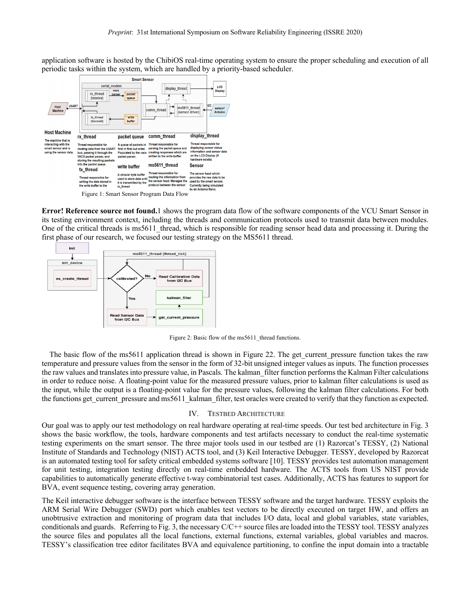application software is hosted by the ChibiOS real-time operating system to ensure the proper scheduling and execution of all periodic tasks within the system, which are handled by a priority-based scheduler.



**Error! Reference source not found.**1 shows the program data flow of the software components of the VCU Smart Sensor in its testing environment context, including the threads and communication protocols used to transmit data between modules. One of the critical threads is ms5611 thread, which is responsible for reading sensor head data and processing it. During the first phase of our research, we focused our testing strategy on the MS5611 thread.



Figure 2: Basic flow of the ms5611\_thread functions.

The basic flow of the ms5611 application thread is shown in Figure 22. The get current pressure function takes the raw temperature and pressure values from the sensor in the form of 32-bit unsigned integer values as inputs. The function processes the raw values and translates into pressure value, in Pascals. The kalman\_filter function performs the Kalman Filter calculations in order to reduce noise. A floating-point value for the measured pressure values, prior to kalman filter calculations is used as the input, while the output is a floating-point value for the pressure values, following the kalman filter calculations. For both the functions get\_current\_pressure and ms5611\_kalman\_filter, test oracles were created to verify that they function as expected.

# IV. TESTBED ARCHITECTURE

Our goal was to apply our test methodology on real hardware operating at real-time speeds. Our test bed architecture in Fig. 3 shows the basic workflow, the tools, hardware components and test artifacts necessary to conduct the real-time systematic testing experiments on the smart sensor. The three major tools used in our testbed are (1) Razorcat's TESSY, (2) National Institute of Standards and Technology (NIST) ACTS tool, and (3) Keil Interactive Debugger. TESSY, developed by Razorcat is an automated testing tool for safety critical embedded systems software [10]. TESSY provides test automation management for unit testing, integration testing directly on real-time embedded hardware. The ACTS tools from US NIST provide capabilities to automatically generate effective t-way combinatorial test cases. Additionally, ACTS has features to support for BVA, event sequence testing, covering array generation.

The Keil interactive debugger software is the interface between TESSY software and the target hardware. TESSY exploits the ARM Serial Wire Debugger (SWD) port which enables test vectors to be directly executed on target HW, and offers an unobtrusive extraction and monitoring of program data that includes I/O data, local and global variables, state variables, conditionals and guards. Referring to Fig. 3, the necessary C/C++ source files are loaded into the TESSY tool. TESSY analyzes the source files and populates all the local functions, external functions, external variables, global variables and macros. TESSY's classification tree editor facilitates BVA and equivalence partitioning, to confine the input domain into a tractable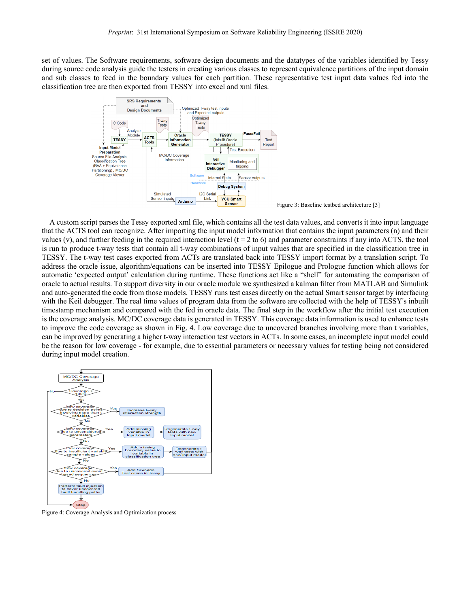set of values. The Software requirements, software design documents and the datatypes of the variables identified by Tessy during source code analysis guide the testers in creating various classes to represent equivalence partitions of the input domain and sub classes to feed in the boundary values for each partition. These representative test input data values fed into the classification tree are then exported from TESSY into excel and xml files.



 A custom script parses the Tessy exported xml file, which contains all the test data values, and converts it into input language that the ACTS tool can recognize. After importing the input model information that contains the input parameters (n) and their values (v), and further feeding in the required interaction level ( $t = 2$  to 6) and parameter constraints if any into ACTS, the tool is run to produce t-way tests that contain all t-way combinations of input values that are specified in the classification tree in TESSY. The t-way test cases exported from ACTs are translated back into TESSY import format by a translation script. To address the oracle issue, algorithm/equations can be inserted into TESSY Epilogue and Prologue function which allows for automatic 'expected output' calculation during runtime. These functions act like a "shell" for automating the comparison of oracle to actual results. To support diversity in our oracle module we synthesized a kalman filter from MATLAB and Simulink and auto-generated the code from those models. TESSY runs test cases directly on the actual Smart sensor target by interfacing with the Keil debugger. The real time values of program data from the software are collected with the help of TESSY's inbuilt timestamp mechanism and compared with the fed in oracle data. The final step in the workflow after the initial test execution is the coverage analysis. MC/DC coverage data is generated in TESSY. This coverage data information is used to enhance tests to improve the code coverage as shown in Fig. 4. Low coverage due to uncovered branches involving more than t variables, can be improved by generating a higher t-way interaction test vectors in ACTs. In some cases, an incomplete input model could be the reason for low coverage - for example, due to essential parameters or necessary values for testing being not considered during input model creation.



Figure 4: Coverage Analysis and Optimization process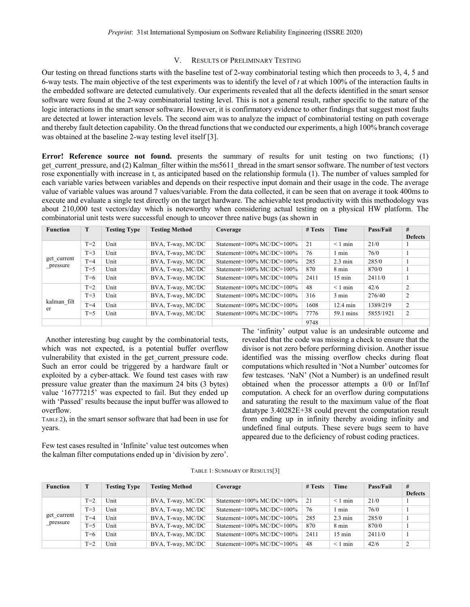# V. RESULTS OF PRELIMINARY TESTING

Our testing on thread functions starts with the baseline test of 2-way combinatorial testing which then proceeds to 3, 4, 5 and 6-way tests. The main objective of the test experiments was to identify the level of *t* at which 100% of the interaction faults in the embedded software are detected cumulatively. Our experiments revealed that all the defects identified in the smart sensor software were found at the 2-way combinatorial testing level. This is not a general result, rather specific to the nature of the logic interactions in the smart sensor software. However, it is confirmatory evidence to other findings that suggest most faults are detected at lower interaction levels. The second aim was to analyze the impact of combinatorial testing on path coverage and thereby fault detection capability. On the thread functions that we conducted our experiments, a high 100% branch coverage was obtained at the baseline 2-way testing level itself [3].

**Error! Reference source not found.** presents the summary of results for unit testing on two functions; (1) get current pressure, and (2) Kalman filter within the ms5611 thread in the smart sensor software. The number of test vectors rose exponentially with increase in t, as anticipated based on the relationship formula (1). The number of values sampled for each variable varies between variables and depends on their respective input domain and their usage in the code. The average value of variable values was around 7 values/variable. From the data collected, it can be seen that on average it took 400ms to execute and evaluate a single test directly on the target hardware. The achievable test productivity with this methodology was about 210,000 test vectors/day which is noteworthy when considering actual testing on a physical HW platform. The combinatorial unit tests were successful enough to uncover three native bugs (as shown in

| <b>Function</b>         | T     | <b>Testing Type</b> | <b>Testing Method</b> | Coverage                          | # Tests | Time               | Pass/Fail | #              |
|-------------------------|-------|---------------------|-----------------------|-----------------------------------|---------|--------------------|-----------|----------------|
|                         |       |                     |                       |                                   |         |                    |           | <b>Defects</b> |
| get current<br>pressure | $T=2$ | Unit                | BVA, T-way, MC/DC     | Statement=100% MC/DC=100%         | 21      | $< 1$ min          | 21/0      |                |
|                         | $T=3$ | Unit                | BVA, T-way, MC/DC     | Statement=100% MC/DC=100%         | 76      | l min              | 76/0      |                |
|                         | $T=4$ | Unit                | BVA, T-way, MC/DC     | Statement=100% MC/DC=100%         | 285     | $2.3 \text{ min}$  | 285/0     |                |
|                         | $T=5$ | Unit                | BVA, T-way, MC/DC     | Statement=100% MC/DC=100%         | 870     | 8 min              | 870/0     |                |
|                         | $T=6$ | Unit                | BVA, T-way, MC/DC     | Statement=100% MC/DC=100%         | 2411    | $15 \text{ min}$   | 2411/0    |                |
|                         | $T=2$ | Unit                | BVA, T-way, MC/DC     | Statement= $100\%$ MC/DC= $100\%$ | 48      | $< 1$ min          | 42/6      | $\overline{2}$ |
| kalman filt<br>er       | $T=3$ | Unit                | BVA, T-way, MC/DC     | Statement= $100\%$ MC/DC= $100\%$ | 316     | $3 \text{ min}$    | 276/40    | 2              |
|                         | $T=4$ | Unit                | BVA, T-way, MC/DC     | Statement=100% MC/DC=100%         | 1608    | $12.4 \text{ min}$ | 1389/219  | 2              |
|                         | $T=5$ | Unit                | BVA, T-way, MC/DC     | Statement=100% MC/DC=100%         | 7776    | 59.1 mins          | 5855/1921 | 2              |
|                         |       |                     |                       |                                   | 9748    |                    |           |                |

 Another interesting bug caught by the combinatorial tests, which was not expected, is a potential buffer overflow vulnerability that existed in the get current pressure code. Such an error could be triggered by a hardware fault or exploited by a cyber-attack. We found test cases with raw pressure value greater than the maximum 24 bits (3 bytes) value '16777215' was expected to fail. But they ended up with 'Passed' results because the input buffer was allowed to overflow.

TABLE 2), in the smart sensor software that had been in use for years.

Few test cases resulted in 'Infinite' value test outcomes when the kalman filter computations ended up in 'division by zero'.

The 'infinity' output value is an undesirable outcome and revealed that the code was missing a check to ensure that the divisor is not zero before performing division. Another issue identified was the missing overflow checks during float computations which resulted in 'Not a Number' outcomes for few testcases. 'NaN' (Not a Number) is an undefined result obtained when the processor attempts a 0/0 or Inf/Inf computation. A check for an overflow during computations and saturating the result to the maximum value of the float datatype 3.40282E+38 could prevent the computation result from ending up in infinity thereby avoiding infinity and undefined final outputs. These severe bugs seem to have appeared due to the deficiency of robust coding practices.

| <b>Function</b>         | T     | <b>Testing Type</b> | <b>Testing Method</b> | Coverage                          | # Tests | Time              | Pass/Fail | #              |
|-------------------------|-------|---------------------|-----------------------|-----------------------------------|---------|-------------------|-----------|----------------|
|                         |       |                     |                       |                                   |         |                   |           | <b>Defects</b> |
| get current<br>pressure | $T=2$ | Unit                | BVA, T-way, MC/DC     | Statement= $100\%$ MC/DC= $100\%$ | 21      | $\leq 1$ min      | 21/0      |                |
|                         | $T=3$ | Unit                | BVA, T-way, MC/DC     | Statement= $100\%$ MC/DC= $100\%$ | 76      | min               | 76/0      |                |
|                         | $T=4$ | Unit                | BVA, T-way, MC/DC     | Statement= $100\%$ MC/DC= $100\%$ | 285     | $2.3 \text{ min}$ | 285/0     |                |
|                         | $T=5$ | Unit                | BVA, T-way, MC/DC     | Statement= $100\%$ MC/DC= $100\%$ | 870     | 8 min             | 870/0     |                |
|                         | $T=6$ | Unit                | BVA, T-way, MC/DC     | Statement= $100\%$ MC/DC= $100\%$ | 2411    | $15 \text{ min}$  | 2411/0    |                |
|                         | $T=2$ | Unit                | BVA, T-way, MC/DC     | Statement= $100\%$ MC/DC= $100\%$ | 48      | $\leq 1$ min      | 42/6      |                |

TABLE 1: SUMMARY OF RESULTS[3]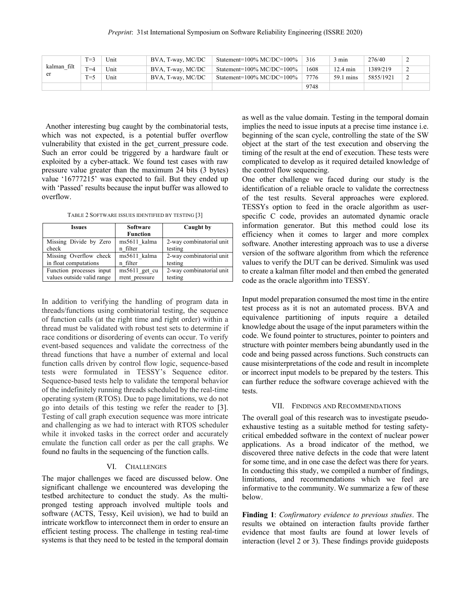|             | $T=3$   | Unit | BVA, T-way, MC/DC | Statement= $100\%$ MC/DC= $100\%$ | 316  | 3 min              | 276/40    | ∼ |
|-------------|---------|------|-------------------|-----------------------------------|------|--------------------|-----------|---|
| kalman filt | $T = 4$ | Unit | BVA, T-way, MC/DC | Statement= $100\%$ MC/DC= $100\%$ | 1608 | $12.4 \text{ min}$ | 1389/219  |   |
| er          | $T=5$   | Unit | BVA, T-way, MC/DC | Statement= $100\%$ MC/DC= $100\%$ | 7776 | 59.1 mins          | 5855/1921 |   |
|             |         |      |                   |                                   | 9748 |                    |           |   |

 Another interesting bug caught by the combinatorial tests, which was not expected, is a potential buffer overflow vulnerability that existed in the get current pressure code. Such an error could be triggered by a hardware fault or exploited by a cyber-attack. We found test cases with raw pressure value greater than the maximum 24 bits (3 bytes) value '16777215' was expected to fail. But they ended up with 'Passed' results because the input buffer was allowed to overflow.

TABLE 2 SOFTWARE ISSUES IDENTIFIED BY TESTING [3]

| <b>Issues</b>              | <b>Software</b> | Caught by                |  |  |
|----------------------------|-----------------|--------------------------|--|--|
|                            | <b>Function</b> |                          |  |  |
| Missing Divide by Zero     | ms5611 kalma    | 2-way combinatorial unit |  |  |
| check                      | n filter        | testing                  |  |  |
| Missing Overflow check     | ms5611 kalma    | 2-way combinatorial unit |  |  |
| in float computations      | n filter        | testing                  |  |  |
| Function processes input   | ms5611 get cu   | 2-way combinatorial unit |  |  |
| values outside valid range | rrent pressure  | testing                  |  |  |

In addition to verifying the handling of program data in threads/functions using combinatorial testing, the sequence of function calls (at the right time and right order) within a thread must be validated with robust test sets to determine if race conditions or disordering of events can occur. To verify event-based sequences and validate the correctness of the thread functions that have a number of external and local function calls driven by control flow logic, sequence-based tests were formulated in TESSY's Sequence editor. Sequence-based tests help to validate the temporal behavior of the indefinitely running threads scheduled by the real-time operating system (RTOS). Due to page limitations, we do not go into details of this testing we refer the reader to [3]. Testing of call graph execution sequence was more intricate and challenging as we had to interact with RTOS scheduler while it invoked tasks in the correct order and accurately emulate the function call order as per the call graphs. We found no faults in the sequencing of the function calls.

# VI. CHALLENGES

The major challenges we faced are discussed below. One significant challenge we encountered was developing the testbed architecture to conduct the study. As the multipronged testing approach involved multiple tools and software (ACTS, Tessy, Keil uvision), we had to build an intricate workflow to interconnect them in order to ensure an efficient testing process. The challenge in testing real-time systems is that they need to be tested in the temporal domain as well as the value domain. Testing in the temporal domain implies the need to issue inputs at a precise time instance i.e. beginning of the scan cycle, controlling the state of the SW object at the start of the test execution and observing the timing of the result at the end of execution. These tests were complicated to develop as it required detailed knowledge of the control flow sequencing.

One other challenge we faced during our study is the identification of a reliable oracle to validate the correctness of the test results. Several approaches were explored. TESSYs option to feed in the oracle algorithm as userspecific C code, provides an automated dynamic oracle information generator. But this method could lose its efficiency when it comes to larger and more complex software. Another interesting approach was to use a diverse version of the software algorithm from which the reference values to verify the DUT can be derived. Simulink was used to create a kalman filter model and then embed the generated code as the oracle algorithm into TESSY.

Input model preparation consumed the most time in the entire test process as it is not an automated process. BVA and equivalence partitioning of inputs require a detailed knowledge about the usage of the input parameters within the code. We found pointer to structures, pointer to pointers and structure with pointer members being abundantly used in the code and being passed across functions. Such constructs can cause misinterpretations of the code and result in incomplete or incorrect input models to be prepared by the testers. This can further reduce the software coverage achieved with the tests.

### VII. FINDINGS AND RECOMMENDATIONS

The overall goal of this research was to investigate pseudoexhaustive testing as a suitable method for testing safetycritical embedded software in the context of nuclear power applications. As a broad indicator of the method, we discovered three native defects in the code that were latent for some time, and in one case the defect was there for years. In conducting this study, we compiled a number of findings, limitations, and recommendations which we feel are informative to the community. We summarize a few of these below.

**Finding 1**: *Confirmatory evidence to previous studies*. The results we obtained on interaction faults provide farther evidence that most faults are found at lower levels of interaction (level 2 or 3). These findings provide guideposts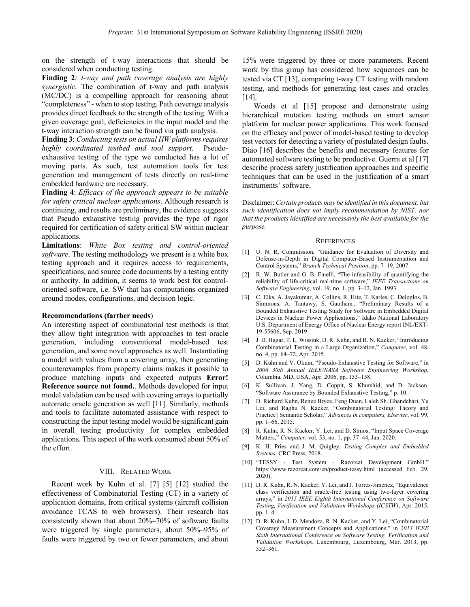on the strength of t-way interactions that should be considered when conducting testing.

**Finding 2***: t-way and path coverage analysis are highly synergistic*. The combination of t-way and path analysis (MC/DC) is a compelling approach for reasoning about "completeness" - when to stop testing. Path coverage analysis provides direct feedback to the strength of the testing. With a given coverage goal, deficiencies in the input model and the t-way interaction strength can be found via path analysis.

**Finding 3**: *Conducting tests on actual HW platforms requires highly coordinated testbed and tool support*. Pseudoexhaustive testing of the type we conducted has a lot of moving parts. As such, test automation tools for test generation and management of tests directly on real-time embedded hardware are necessary.

**Finding 4**: *Efficacy of the approach appears to be suitable for safety critical nuclear applications*. Although research is continuing, and results are preliminary, the evidence suggests that Pseudo exhaustive testing provides the type of rigor required for certification of safety critical SW within nuclear applications.

**Limitations**: *White Box testing and control-oriented software*. The testing methodology we present is a white box testing approach and it requires access to requirements, specifications, and source code documents by a testing entity or authority. In addition, it seems to work best for controloriented software, i.e. SW that has computations organized around modes, configurations, and decision logic.

### **Recommendations (farther needs**)

An interesting aspect of combinatorial test methods is that they allow tight integration with approaches to test oracle generation, including conventional model-based test generation, and some novel approaches as well. Instantiating a model with values from a covering array, then generating counterexamples from property claims makes it possible to produce matching inputs and expected outputs **Error! Reference source not found.**. Methods developed for input model validation can be used with covering arrays to partially automate oracle generation as well [11]. Similarly, methods and tools to facilitate automated assistance with respect to constructing the input testing model would be significant gain in overall testing productivity for complex embedded applications. This aspect of the work consumed about 50% of the effort.

#### VIII. RELATED WORK

 Recent work by Kuhn et al. [7] [5] [12] studied the effectiveness of Combinatorial Testing (CT) in a variety of application domains, from critical systems (aircraft collision avoidance TCAS to web browsers). Their research has consistently shown that about 20%–70% of software faults were triggered by single parameters, about 50%–95% of faults were triggered by two or fewer parameters, and about

15% were triggered by three or more parameters. Recent work by this group has considered how sequences can be tested via CT [13], comparing t-way CT testing with random testing, and methods for generating test cases and oracles [14].

 Woods et al [15] propose and demonstrate using hierarchical mutation testing methods on smart sensor platform for nuclear power applications. This work focused on the efficacy and power of model-based testing to develop test vectors for detecting a variety of postulated design faults. Diao [16] describes the benefits and necessary features for automated software testing to be productive. Guerra et al [17] describe process safety justification approaches and specific techniques that can be used in the justification of a smart instruments' software.

Disclaimer: *Certain products may be identified in this document, but such identification does not imply recommendation by NIST, nor that the products identified are necessarily the best available for the purpose.*

#### **REFERENCES**

- [1] U. N. R. Commission, "Guidance for Evaluation of Diversity and Defense-in-Depth in Digital Computer-Based Instrumentation and Control Systems," *Branch Technical Position*, pp. 7–19, 2007.
- [2] R. W. Butler and G. B. Finelli, "The infeasibility of quantifying the reliability of life-critical real-time software," *IEEE Transactions on Software Engineering*, vol. 19, no. 1, pp. 3–12, Jan. 1993.
- [3] C. Elks, A. Jayakumar, A. Collins, R. Hite, T. Karles, C. Deloglos, B. Simmons, A. Tantawy, S. Gautham*.*, "Preliminary Results of a Bounded Exhaustive Testing Study for Software in Embedded Digital Devices in Nuclear Power Applications," Idaho National Laboratory U.S. Department of Energy Office of Nuclear Energy report INL/EXT-19-55606, Sep. 2019.
- [4] J. D. Hagar, T. L. Wissink, D. R. Kuhn, and R. N. Kacker, "Introducing Combinatorial Testing in a Large Organization," *Computer*, vol. 48, no. 4, pp. 64–72, Apr. 2015.
- [5] D. Kuhn and V. Okum, "Pseudo-Exhaustive Testing for Software," in *2006 30th Annual IEEE/NASA Software Engineering Workshop*, Columbia, MD, USA, Apr. 2006, pp. 153–158.
- [6] K. Sullivan, J. Yang, D. Coppit, S. Khurshid, and D. Jackson, "Software Assurance by Bounded Exhaustive Testing," p. 10.
- [7] D. Richard Kuhn, Renee Bryce, Feng Duan, Laleh Sh. Ghandehari, Yu Lei, and Raghu N. Kacker, "Combinatorial Testing: Theory and Practice | Semantic Scholar," *Advances in computers, Elsevier*, vol. 99, pp. 1–66, 2015.
- [8] R. Kuhn, R. N. Kacker, Y. Lei, and D. Simos, "Input Space Coverage Matters," *Computer*, vol. 53, no. 1, pp. 37–44, Jan. 2020.
- [9] K. H. Pries and J. M. Quigley, *Testing Complex and Embedded Systems*. CRC Press, 2018.
- [10] "TESSY Test System Razorcat Development GmbH." https://www.razorcat.com/en/product-tessy.html (accessed Feb. 29, 2020).
- [11] D. R. Kuhn, R. N. Kacker, Y. Lei, and J. Torres-Jimenez, "Equivalence class verification and oracle-free testing using two-layer covering arrays," in *2015 IEEE Eighth International Conference on Software Testing, Verification and Validation Workshops (ICSTW)*, Apr. 2015, pp. 1–4.
- [12] D. R. Kuhn, I. D. Mendoza, R. N. Kacker, and Y. Lei, "Combinatorial Coverage Measurement Concepts and Applications," in *2013 IEEE Sixth International Conference on Software Testing, Verification and Validation Workshops*, Luxembourg, Luxembourg, Mar. 2013, pp. 352–361.